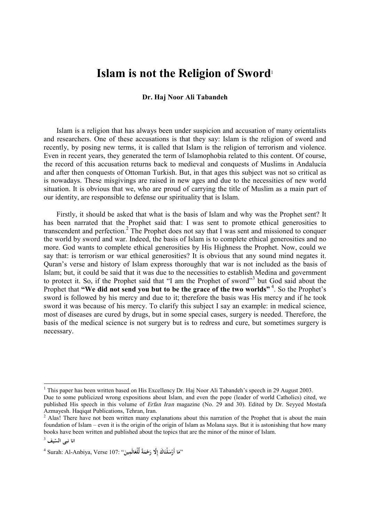## **Islam is not the Religion of Sword**<sup>1</sup>

## **Dr. Haj Noor Ali Tabandeh**

Islam is a religion that has always been under suspicion and accusation of many orientalists and researchers. One of these accusations is that they say: Islam is the religion of sword and recently, by posing new terms, it is called that Islam is the religion of terrorism and violence. Even in recent years, they generated the term of Islamophobia related to this content. Of course, the record of this accusation returns back to medieval and conquests of Muslims in Andalucía and after then conquests of Ottoman Turkish. But, in that ages this subject was not so critical as is nowadays. These misgivings are raised in new ages and due to the necessities of new world situation. It is obvious that we, who are proud of carrying the title of Muslim as a main part of our identity, are responsible to defense our spirituality that is Islam.

Firstly, it should be asked that what is the basis of Islam and why was the Prophet sent? It has been narrated that the Prophet said that: I was sent to promote ethical generosities to transcendent and perfection. 2 The Prophet does not say that I was sent and missioned to conquer the world by sword and war. Indeed, the basis of Islam is to complete ethical generosities and no more. God wants to complete ethical generosities by His Highness the Prophet. Now, could we say that: is terrorism or war ethical generosities? It is obvious that any sound mind negates it. Quran's verse and history of Islam express thoroughly that war is not included as the basis of Islam; but, it could be said that it was due to the necessities to establish Medina and government to protect it. So, if the Prophet said that "I am the Prophet of sword"<sup>3</sup> but God said about the Prophet that **"We did not send you but to be the grace of the two worlds"** 4 . So the Prophet's sword is followed by his mercy and due to it; therefore the basis was His mercy and if he took sword it was because of his mercy. To clarify this subject I say an example: in medical science, most of diseases are cured by drugs, but in some special cases, surgery is needed. Therefore, the basis of the medical science is not surgery but is to redress and cure, but sometimes surgery is necessary.

 $\overline{\phantom{a}}$ 

<sup>&</sup>lt;sup>1</sup> This paper has been written based on His Excellency Dr. Haj Noor Ali Tabandeh's speech in 29 August 2003. Due to some publicized wrong expositions about Islam, and even the pope (leader of world Catholics) cited, we

published His speech in this volume of *Erfan Iran* magazine (No. 29 and 30). Edited by Dr. Seyyed Mostafa Azmayesh. Haqiqat Publications, Tehran, Iran.

<sup>&</sup>lt;sup>2</sup> Alas! There have not been written many explanations about this narration of the Prophet that is about the main foundation of Islam – even it is the origin of the origin of Islam as Molana says. But it is astonishing that how many books have been written and published about the topics that are the minor of the minor of Islam.

**يف** <sup>3</sup> **ّ انا نبی الس**

<sup>4</sup> Surah: Al-Anbiya, Verse 107: " **الَمِين ْلع ةً لِّ ْم َح َِّلا ر َ اك إ لْن ْس ا أَر** "**مَ َ َ َ َ َ**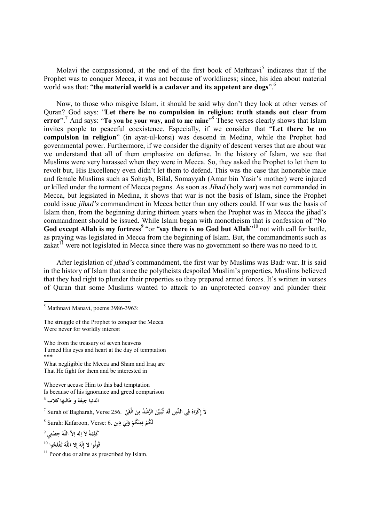Molavi the compassioned, at the end of the first book of Mathnavi<sup>5</sup> indicates that if the Prophet was to conquer Mecca, it was not because of worldliness; since, his idea about material world was that: "**the material world is a cadaver and its appetent are dogs**". 6

Now, to those who misgive Islam, it should be said why don't they look at other verses of Quran? God says: "**Let there be no compulsion in religion: truth stands out clear from error**". <sup>7</sup> And says: "**To you be your way, and to me mine**" 8 These verses clearly shows that Islam invites people to peaceful coexistence. Especially, if we consider that "**Let there be no compulsion in religion**" (in ayat-ul-korsi) was descend in Medina, while the Prophet had governmental power. Furthermore, if we consider the dignity of descent verses that are about war we understand that all of them emphasize on defense. In the history of Islam, we see that Muslims were very harassed when they were in Mecca. So, they asked the Prophet to let them to revolt but, His Excellency even didn't let them to defend. This was the case that honorable male and female Muslims such as Sohayb, Bilal, Somayyah (Amar bin Yasir's mother) were injured or killed under the torment of Mecca pagans. As soon as *Jihad* (holy war) was not commanded in Mecca, but legislated in Medina, it shows that war is not the basis of Islam, since the Prophet could issue *jihad'<sup>s</sup>* commandment in Mecca better than any others could. If war was the basis of Islam then, from the beginning during thirteen years when the Prophet was in Mecca the jihad's commandment should be issued. While Islam began with monotheism that is confession of "N**o God except Allah is my fortress<sup>9</sup>** "or "**say there is no God but Allah**" <sup>10</sup> not with call for battle, as praying was legislated in Mecca from the beginning of Islam. But, the commandments such as zakat<sup>11</sup> were not legislated in Mecca since there was no government so there was no need to it.

After legislation of *jihad'<sup>s</sup>* commandment, the first war by Muslims was Badr war. It is said in the history of Islam that since the polytheists despoiled Muslim's properties, Muslims believed that they had right to plunder their properties so they prepared armed forces. It's written in verses of Quran that some Muslims wanted to attack to an unprotected convoy and plunder their

What negligible the Mecca and Sham and Iraq are That He fight for them and be interested in

Whoever accuse Him to this bad temptation Is because of his ignorance and greed comparison

 $\overline{a}$ 

- 8 Surah: Kafaroon, Verse: 6. **ين ِ دِ ي و ُكم ُ دِين لَ ُكم َ ِ ل َ ْ ْ**
- 9 **ِی ْصن ُ حِ لاَّ اللّه ِله ا ةُ لاَ ا م َکل ِ ِ َ ِ**

**ُوا** <sup>10</sup> **ح ُ ْفل تـ ُ ه ِلا اللَّ لَه قُولُوا لا إ ِ إ َ ِ**

<sup>5</sup> Mathnavi Manavi, poems:3986-3963:

The struggle of the Prophet to conquer the Mecca Were never for worldly interest

Who from the treasury of seven heavens Turned His eyes and heart at the day of temptation \*\*\*

**الدنيا جيفة و طالبها کلاب** <sup>6</sup>

 $^7$  Surah of Bagharah, Verse 256. ﴿ وَمَنْ الْغَيِّ  $256.$   $^2$ **َ ِ َ َ ِ َ َ ِ**

 $11$  Poor due or alms as prescribed by Islam.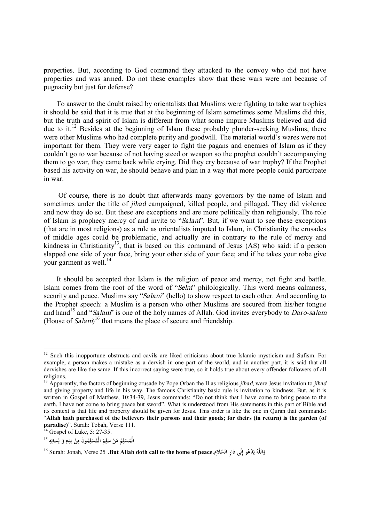properties. But, according to God command they attacked to the convoy who did not have properties and was armed. Do not these examples show that these wars were not because of pugnacity but just for defense?

To answer to the doubt raised by orientalists that Muslims were fighting to take war trophies it should be said that it is true that at the beginning of Islam sometimes some Muslims did this, but the truth and spirit of Islam is different from what some impure Muslims believed and did due to it.<sup>12</sup> Besides at the beginning of Islam these probably plunder-seeking Muslims, there were other Muslims who had complete purity and goodwill. The material world's wares were not important for them. They were very eager to fight the pagans and enemies of Islam as if they couldn't go to war because of not having steed or weapon so the prophet couldn't accompanying them to go war, they came back while crying. Did they cry because of war trophy? If the Prophet based his activity on war, he should behave and plan in a way that more people could participate in war.

Of course, there is no doubt that afterwards many governors by the name of Islam and sometimes under the title of *jihad* campaigned, killed people, and pillaged. They did violence and now they do so. But these are exceptions and are more politically than religiously. The role of Islam is prophecy mercy of and invite to "*Salam*". But, if we want to see these exceptions (that are in most religions) as a rule as orientalists imputed to Islam, in Christianity the crusades of middle ages could be problematic, and actually are in contrary to the rule of mercy and kindness in Christianity<sup>13</sup>, that is based on this command of Jesus  $(AS)$  who said: if a person slapped one side of your face, bring your other side of your face; and if he takes your robe give your garment as well. $^{14}$ 

It should be accepted that Islam is the religion of peace and mercy, not fight and battle. Islam comes from the root of the word of "*Selm*" philologically. This word means calmness, security and peace. Muslims say "*Salam*" (hello) to show respect to each other. And according to the Prophet speech: a Muslim is a person who other Muslims are secured from his/her tongue and hand<sup>15</sup> and "*Salam*" is one of the holy names of Allah. God invites everybody to *Daro-salam* (House of *Salam*) <sup>16</sup> that means the place of secure and friendship.

 $\overline{\phantom{a}}$ 

 $12$  Such this inopportune obstructs and cavils are liked criticisms about true Islamic mysticism and Sufism. For example, a person makes a mistake as a dervish in one part of the world, and in another part, it is said that all dervishes are like the same. If this incorrect saying were true, so it holds true about every offender followers of all religions.

<sup>13</sup> Apparently, the factors of beginning crusade by Pope Orban the II as religious *jihad*, were Jesus invitation to *jihad* and giving property and life in his way. The famous Christianity basic rule is invitation to kindness. But, as it is written in Gospel of Matthew, 10:34-39, Jesus commands: "Do not think that I have come to bring peace to the earth, I have not come to bring peace but sword". What is understood from His statements in this part of Bible and its context is that life and property should be given for Jesus. This order is like the one in Quran that commands: "Allah hath purchased of the believers their persons and their goods; for theirs (in return) is the garden (of **paradise)**". Surah: Tobah, Verse 111.

 $^{14}$  Gospel of Luke, 5: 27-35.

الْمُسْلِمُ مَنْ سَلِمَ الْمُسْلِمُونَ مِنْ يَدِهِ وَ لِسَانِهِ <sup>15</sup> **ِ َ ل َ ِ ي ْ ِ ِ ْ َ ِ َ ِ ْ**

وَاللَّهُ يَدْعُو إِلَى دَارِ السَّلَامِ.Surah: Jonah, Verse 25 .**But Allah doth call to the home of peace** وَاللَّهُ يَدْعُو إِلَى دَارِ السَّلَامِ. **َ ِ ي َ**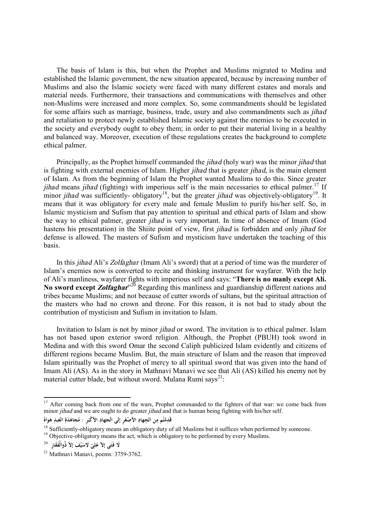The basis of Islam is this, but when the Prophet and Muslims migrated to Medina and established the Islamic government, the new situation appeared, because by increasing number of Muslims and also the Islamic society were faced with many different estates and morals and material needs. Furthermore, their transactions and communications with themselves and other non-Muslims were increased and more complex. So, some commandments should be legislated for some affairs such as marriage, business, trade, usury and also commandments such as *jihad* and retaliation to protect newly established Islamic society against the enemies to be executed in the society and everybody ought to obey them; in order to put their material living in a healthy and balanced way. Moreover, execution of these regulations creates the background to complete ethical palmer.

Principally, as the Prophet himself commanded the *jihad* (holy war) was the minor *jihad* that is fighting with external enemies of Islam. Higher *jihad* that is greater *jihad*, is the main element of Islam. As from the beginning of Islam the Prophet wanted Muslims to do this. Since greater *jihad* means *jihad* (fighting) with imperious self is the main necessaries to ethical palmer. <sup>17</sup> If minor *jihad* was sufficiently- obligatory<sup>18</sup>, but the greater *jihad* was objectively-obligatory<sup>19</sup>. It means that it was obligatory for every male and female Muslim to purify his/her self. So, in Islamic mysticism and Sufism that pay attention to spiritual and ethical parts of Islam and show the way to ethical palmer, greater *jihad* is very important. In time of absence of Imam (God hastens his presentation) in the Shiite point of view, first *jihad* is forbidden and only *jihad* for defense is allowed. The masters of Sufism and mysticism have undertaken the teaching of this basis.

In this *jihad* Ali's *Zolfaghar* (Imam Ali's sword) that at a period of time was the murderer of Islam's enemies now is converted to recite and thinking instrument for wayfarer. With the help of Ali's manliness, wayfarer fights with imperious self and says: "**There is no manly except Ali.**  No sword except Zolfaghar<sup>,20</sup> Regarding this manliness and guardianship different nations and tribes became Muslims; and not because of cutter swords of sultans, but the spiritual attraction of the masters who had no crown and throne. For this reason, it is not bad to study about the contribution of mysticism and Sufism in invitation to Islam.

Invitation to Islam is not by minor *jihad* or sword. The invitation is to ethical palmer. Islam has not based upon exterior sword religion. Although, the Prophet (PBUH) took sword in Medina and with this sword Omar the second Caliph publicized Islam evidently and citizens of different regions became Muslim. But, the main structure of Islam and the reason that improved Islam spiritually was the Prophet of mercy to all spiritual sword that was given into the hand of Imam Ali (AS). As in the story in Mathnavi Manavi we see that Ali (AS) killed his enemy not by material cutter blade, but without sword. Mulana Rumi says $2^{1}$ :

 $\overline{a}$ 

<sup>&</sup>lt;sup>17</sup> After coming back from one of the wars, Prophet commanded to the fighters of that war: we come back from minor *jihad* and we are ought to do greater *jihad* and that is human being fighting with his/her self.

قَدِمْتُم مِن الجِهادِ الأَصْغَرِ إلى الجهادِ الأكْبَرِ : مُجاهَدَةِ العَبدِ هَواهُ<br>وَالْمَسْمَّمِينَ **َ ِ ْ َ َ**

<sup>&</sup>lt;sup>18</sup> Sufficiently-obligatory means an obligatory duty of all Muslims but it suffices when performed by someone. <sup>19</sup> Objective-obligatory means the act, which is obligatory to be performed by every Muslims.

<sup>20</sup> **َى إلاّ َفَق ِار َلا َفـت ْ َف إلاّ ذُوالْ ي َلاس ى ل ع َ ِ َ**

**<sup>ّ</sup>** <sup>21</sup> Mathnavi Manavi, poems: 3759-3762.